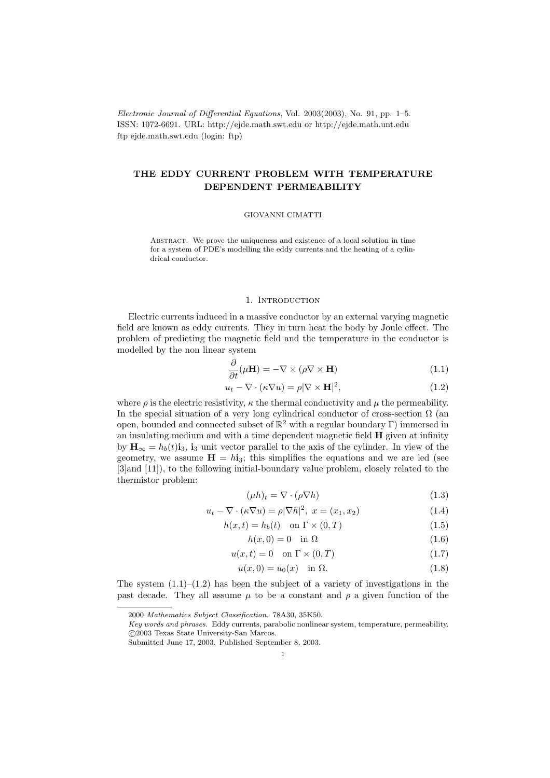Electronic Journal of Differential Equations, Vol. 2003(2003), No. 91, pp. 1–5. ISSN: 1072-6691. URL: http://ejde.math.swt.edu or http://ejde.math.unt.edu ftp ejde.math.swt.edu (login: ftp)

# THE EDDY CURRENT PROBLEM WITH TEMPERATURE DEPENDENT PERMEABILITY

#### GIOVANNI CIMATTI

Abstract. We prove the uniqueness and existence of a local solution in time for a system of PDE's modelling the eddy currents and the heating of a cylindrical conductor.

### 1. INTRODUCTION

Electric currents induced in a massive conductor by an external varying magnetic field are known as eddy currents. They in turn heat the body by Joule effect. The problem of predicting the magnetic field and the temperature in the conductor is modelled by the non linear system

$$
\frac{\partial}{\partial t}(\mu \mathbf{H}) = -\nabla \times (\rho \nabla \times \mathbf{H})
$$
\n(1.1)

$$
u_t - \nabla \cdot (\kappa \nabla u) = \rho |\nabla \times \mathbf{H}|^2, \tag{1.2}
$$

where  $\rho$  is the electric resistivity,  $\kappa$  the thermal conductivity and  $\mu$  the permeability. In the special situation of a very long cylindrical conductor of cross-section  $\Omega$  (an open, bounded and connected subset of  $\mathbb{R}^2$  with a regular boundary  $\Gamma$ ) immersed in an insulating medium and with a time dependent magnetic field H given at infinity by  $\mathbf{H}_{\infty} = h_b(t)\mathbf{i}_3$ ,  $\mathbf{i}_3$  unit vector parallel to the axis of the cylinder. In view of the geometry, we assume  $H = h i_3$ ; this simplifies the equations and we are led (see [3]and [11]), to the following initial-boundary value problem, closely related to the thermistor problem:

$$
(\mu h)_t = \nabla \cdot (\rho \nabla h) \tag{1.3}
$$

$$
u_t - \nabla \cdot (\kappa \nabla u) = \rho |\nabla h|^2, \ x = (x_1, x_2) \tag{1.4}
$$

$$
h(x,t) = h_b(t) \quad \text{on } \Gamma \times (0,T) \tag{1.5}
$$

$$
h(x,0) = 0 \quad \text{in } \Omega \tag{1.6}
$$

$$
u(x,t) = 0 \quad \text{on } \Gamma \times (0,T) \tag{1.7}
$$

$$
u(x,0) = u_0(x) \quad \text{in } \Omega. \tag{1.8}
$$

The system  $(1.1)$ – $(1.2)$  has been the subject of a variety of investigations in the past decade. They all assume  $\mu$  to be a constant and  $\rho$  a given function of the

<sup>2000</sup> Mathematics Subject Classification. 78A30, 35K50.

Key words and phrases. Eddy currents, parabolic nonlinear system, temperature, permeability. c 2003 Texas State University-San Marcos.

Submitted June 17, 2003. Published September 8, 2003.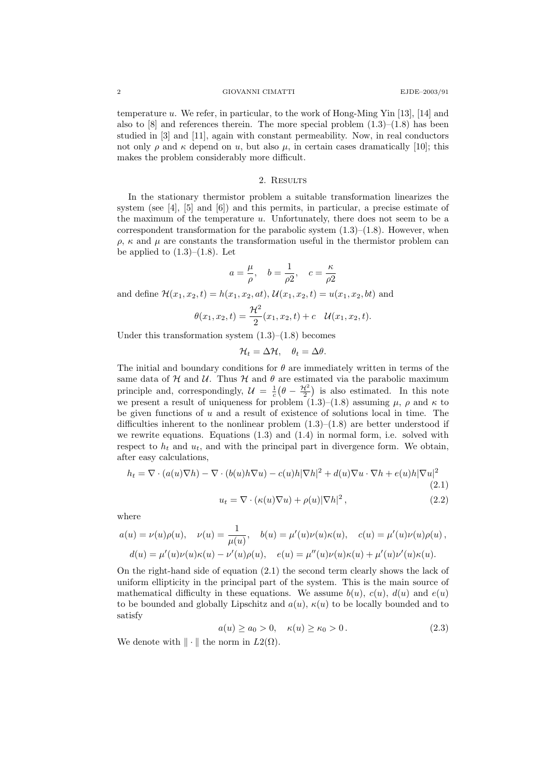temperature u. We refer, in particular, to the work of Hong-Ming Yin  $[13]$ ,  $[14]$  and also to  $[8]$  and references therein. The more special problem  $(1.3)$ – $(1.8)$  has been studied in [3] and [11], again with constant permeability. Now, in real conductors not only  $\rho$  and  $\kappa$  depend on u, but also  $\mu$ , in certain cases dramatically [10]; this makes the problem considerably more difficult.

### 2. RESULTS

In the stationary thermistor problem a suitable transformation linearizes the system (see [4], [5] and [6]) and this permits, in particular, a precise estimate of the maximum of the temperature  $u$ . Unfortunately, there does not seem to be a correspondent transformation for the parabolic system  $(1.3)$ – $(1.8)$ . However, when  $\rho$ ,  $\kappa$  and  $\mu$  are constants the transformation useful in the thermistor problem can be applied to  $(1.3)$ – $(1.8)$ . Let

$$
a = \frac{\mu}{\rho}, \quad b = \frac{1}{\rho 2}, \quad c = \frac{\kappa}{\rho 2}
$$

and define  $\mathcal{H}(x_1, x_2, t) = h(x_1, x_2, at), \mathcal{U}(x_1, x_2, t) = u(x_1, x_2, bt)$  and

$$
\theta(x_1, x_2, t) = \frac{\mathcal{H}^2}{2}(x_1, x_2, t) + c \quad \mathcal{U}(x_1, x_2, t).
$$

Under this transformation system  $(1.3)$ – $(1.8)$  becomes

$$
\mathcal{H}_t = \Delta \mathcal{H}, \quad \theta_t = \Delta \theta.
$$

The initial and boundary conditions for  $\theta$  are immediately written in terms of the same data of  $H$  and  $U$ . Thus  $H$  and  $\theta$  are estimated via the parabolic maximum principle and, correspondingly,  $\mathcal{U} = \frac{1}{c} \left( \theta - \frac{\mathcal{H}^2}{2} \right)$  is also estimated. In this note we present a result of uniqueness for problem  $(1.3)$ – $(1.8)$  assuming  $\mu$ ,  $\rho$  and  $\kappa$  to be given functions of  $u$  and a result of existence of solutions local in time. The difficulties inherent to the nonlinear problem  $(1.3)$ – $(1.8)$  are better understood if we rewrite equations. Equations  $(1.3)$  and  $(1.4)$  in normal form, i.e. solved with respect to  $h_t$  and  $u_t$ , and with the principal part in divergence form. We obtain, after easy calculations,

$$
h_t = \nabla \cdot (a(u)\nabla h) - \nabla \cdot (b(u)h\nabla u) - c(u)h|\nabla h|^2 + d(u)\nabla u \cdot \nabla h + e(u)h|\nabla u|^2
$$
\n(2.1)\n
$$
u_t = \nabla \cdot (\kappa(u)\nabla u) + \rho(u)|\nabla h|^2, \tag{2.2}
$$

where

$$
a(u) = \nu(u)\rho(u), \quad \nu(u) = \frac{1}{\mu(u)}, \quad b(u) = \mu'(u)\nu(u)\kappa(u), \quad c(u) = \mu'(u)\nu(u)\rho(u),
$$

$$
d(u) = \mu'(u)\nu(u)\kappa(u) - \nu'(u)\rho(u), \quad e(u) = \mu''(u)\nu(u)\kappa(u) + \mu'(u)\nu'(u)\kappa(u).
$$

On the right-hand side of equation (2.1) the second term clearly shows the lack of uniform ellipticity in the principal part of the system. This is the main source of mathematical difficulty in these equations. We assume  $b(u)$ ,  $c(u)$ ,  $d(u)$  and  $e(u)$ to be bounded and globally Lipschitz and  $a(u)$ ,  $\kappa(u)$  to be locally bounded and to satisfy

$$
a(u) \ge a_0 > 0, \quad \kappa(u) \ge \kappa_0 > 0. \tag{2.3}
$$

We denote with  $\|\cdot\|$  the norm in  $L_2(\Omega)$ .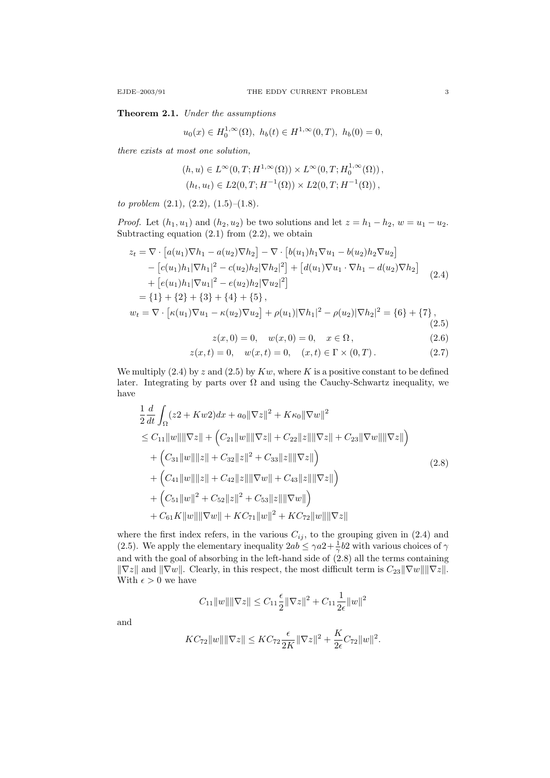Theorem 2.1. Under the assumptions

$$
u_0(x) \in H_0^{1,\infty}(\Omega), h_b(t) \in H^{1,\infty}(0,T), h_b(0) = 0,
$$

there exists at most one solution,

$$
(h, u) \in L^{\infty}(0, T; H^{1,\infty}(\Omega)) \times L^{\infty}(0, T; H_0^{1,\infty}(\Omega)),
$$
  

$$
(h_t, u_t) \in L_2(0, T; H^{-1}(\Omega)) \times L_2(0, T; H^{-1}(\Omega)),
$$

to problem  $(2.1)$ ,  $(2.2)$ ,  $(1.5)$ – $(1.8)$ .

*Proof.* Let  $(h_1, u_1)$  and  $(h_2, u_2)$  be two solutions and let  $z = h_1 - h_2$ ,  $w = u_1 - u_2$ . Subtracting equation  $(2.1)$  from  $(2.2)$ , we obtain

$$
z_{t} = \nabla \cdot \left[a(u_{1})\nabla h_{1} - a(u_{2})\nabla h_{2}\right] - \nabla \cdot \left[b(u_{1})h_{1}\nabla u_{1} - b(u_{2})h_{2}\nabla u_{2}\right]
$$
  
\n
$$
- \left[c(u_{1})h_{1}|\nabla h_{1}|^{2} - c(u_{2})h_{2}|\nabla h_{2}|^{2}\right] + \left[d(u_{1})\nabla u_{1} \cdot \nabla h_{1} - d(u_{2})\nabla h_{2}\right]
$$
  
\n
$$
+ \left[e(u_{1})h_{1}|\nabla u_{1}|^{2} - e(u_{2})h_{2}|\nabla u_{2}|^{2}\right]
$$
  
\n
$$
= \{1\} + \{2\} + \{3\} + \{4\} + \{5\},
$$
  
\n
$$
w_{t} = \nabla \cdot \left[\kappa(u_{1})\nabla u_{1} - \kappa(u_{2})\nabla u_{2}\right] + \rho(u_{1})|\nabla h_{1}|^{2} - \rho(u_{2})|\nabla h_{2}|^{2} = \{6\} + \{7\},
$$
  
\n(2.5)  
\n
$$
z(x, 0) = 0, \quad w(x, 0) = 0, \quad x \in \Omega,
$$
  
\n
$$
z(x, t) = 0, \quad w(x, t) = 0, \quad (x, t) \in \Gamma \times (0, T).
$$
  
\n(2.7)

We multiply  $(2.4)$  by z and  $(2.5)$  by  $Kw$ , where K is a positive constant to be defined later. Integrating by parts over  $\Omega$  and using the Cauchy-Schwartz inequality, we have

$$
\frac{1}{2} \frac{d}{dt} \int_{\Omega} (z^2 + Kw^2) dx + a_0 \|\nabla z\|^2 + K\kappa_0 \|\nabla w\|^2
$$
\n
$$
\leq C_{11} \|w\| \|\nabla z\| + \left( C_{21} \|w\| \|\nabla z\| + C_{22} \|z\| \|\nabla z\| + C_{23} \|\nabla w\| \|\nabla z\| \right)
$$
\n
$$
+ \left( C_{31} \|w\| \|z\| + C_{32} \|z\|^2 + C_{33} \|z\| \|\nabla z\| \right)
$$
\n
$$
+ \left( C_{41} \|w\| \|z\| + C_{42} \|z\| \|\nabla w\| + C_{43} \|z\| \|\nabla z\| \right)
$$
\n
$$
+ \left( C_{51} \|w\|^2 + C_{52} \|z\|^2 + C_{53} \|z\| \|\nabla w\| \right)
$$
\n
$$
+ C_{61} K \|w\| \|\nabla w\| + K C_{71} \|w\|^2 + K C_{72} \|w\| \|\nabla z\|
$$
\n(2.8)

where the first index refers, in the various  $C_{ij}$ , to the grouping given in (2.4) and (2.5). We apply the elementary inequality  $2ab \leq \gamma a^2 + \frac{1}{\gamma} b^2$  with various choices of  $\gamma$ and with the goal of absorbing in the left-hand side of  $(2.8)$  all the terms containing  $\|\nabla z\|$  and  $\|\nabla w\|$ . Clearly, in this respect, the most difficult term is  $C_{23}\|\nabla w\|\|\nabla z\|$ . With  $\epsilon > 0$  we have

$$
C_{11}||w|| ||\nabla z|| \leq C_{11} \frac{\epsilon}{2} ||\nabla z||^2 + C_{11} \frac{1}{2\epsilon} ||w||^2
$$

and

$$
KC_{72}||w|| ||\nabla z|| \leq KC_{72} \frac{\epsilon}{2K} ||\nabla z||^2 + \frac{K}{2\epsilon} C_{72} ||w||^2.
$$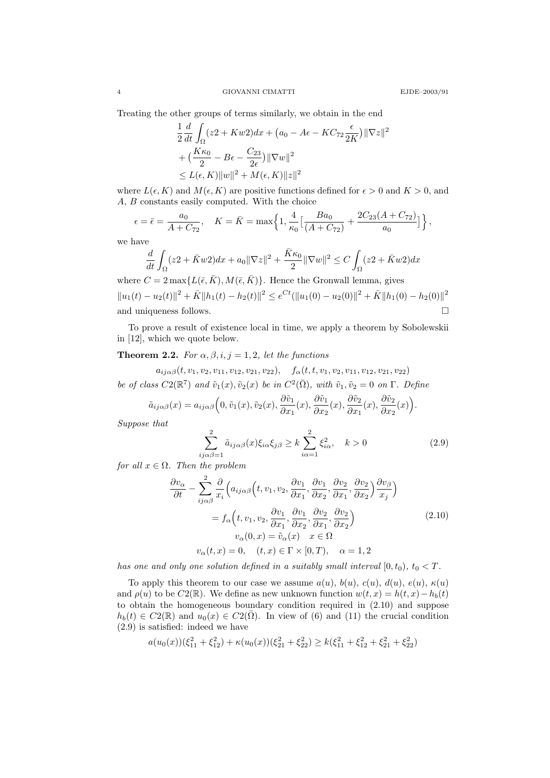Treating the other groups of terms similarly, we obtain in the end

$$
\frac{1}{2}\frac{d}{dt}\int_{\Omega}(z^2+Kw^2)dx + (a_0 - A\epsilon - KC_{72}\frac{\epsilon}{2K})\|\nabla z\|^2
$$

$$
+\left(\frac{K\kappa_0}{2} - B\epsilon - \frac{C_{23}}{2\epsilon}\right)\|\nabla w\|^2
$$

$$
\leq L(\epsilon, K)\|w\|^2 + M(\epsilon, K)\|z\|^2
$$

where  $L(\epsilon, K)$  and  $M(\epsilon, K)$  are positive functions defined for  $\epsilon > 0$  and  $K > 0$ , and A, B constants easily computed. With the choice

$$
\epsilon = \bar{\epsilon} = \frac{a_0}{A + C_{72}}, \quad K = \bar{K} = \max\left\{1, \frac{4}{\kappa_0} \left[\frac{Ba_0}{(A + C_{72})} + \frac{2C_{23}(A + C_{72})}{a_0}\right]\right\},\,
$$

we have

$$
\frac{d}{dt} \int_{\Omega} (z^2 + \bar{K}w^2) dx + a_0 \|\nabla z\|^2 + \frac{\bar{K}\kappa_0}{2} \|\nabla w\|^2 \le C \int_{\Omega} (z^2 + \bar{K}w^2) dx
$$

where  $C = 2 \max\{L(\bar{\epsilon}, \bar{K}), M(\bar{\epsilon}, \bar{K})\}\$ . Hence the Gronwall lemma, gives  $||u_1(t) - u_2(t)||^2 + \bar{K}||h_1(t) - h_2(t)||^2 \le e^{Ct} (||u_1(0) - u_2(0)||^2 + \bar{K}||h_1(0) - h_2(0)||^2$ and uniqueness follows.

To prove a result of existence local in time, we apply a theorem by Sobolewskii in [12], which we quote below.

## **Theorem 2.2.** For  $\alpha, \beta, i, j = 1, 2$ , let the functions

 $a_{ii\alpha\beta}(t, v_1, v_2, v_{11}, v_{12}, v_{21}, v_{22}), \quad f_{\alpha}(t, t, v_1, v_2, v_{11}, v_{12}, v_{21}, v_{22})$ 

be of class  $C2(\mathbb{R}^7)$  and  $\tilde{v}_1(x), \tilde{v}_2(x)$  be in  $C^2(\bar{\Omega})$ , with  $\tilde{v}_1, \tilde{v}_2 = 0$  on  $\Gamma$ . Define

$$
\tilde{a}_{ij\alpha\beta}(x) = a_{ij\alpha\beta}\Big(0, \tilde{v}_1(x), \tilde{v}_2(x), \frac{\partial \tilde{v}_1}{\partial x_1}(x), \frac{\partial \tilde{v}_1}{\partial x_2}(x), \frac{\partial \tilde{v}_2}{\partial x_1}(x), \frac{\partial \tilde{v}_2}{\partial x_2}(x)\Big).
$$

Suppose that

$$
\sum_{ij\alpha\beta=1}^{2} \tilde{a}_{ij\alpha\beta}(x)\xi_{i\alpha}\xi_{j\beta} \ge k \sum_{i\alpha=1}^{2} \xi_{i\alpha}^{2}, \quad k > 0
$$
 (2.9)

for all  $x \in \Omega$ . Then the problem

$$
\frac{\partial v_{\alpha}}{\partial t} - \sum_{ij\alpha\beta}^{2} \frac{\partial}{x_{i}} \Big( a_{ij\alpha\beta} \Big( t, v_{1}, v_{2}, \frac{\partial v_{1}}{\partial x_{1}}, \frac{\partial v_{1}}{\partial x_{2}}, \frac{\partial v_{2}}{\partial x_{1}}, \frac{\partial v_{2}}{\partial x_{2}} \Big) \frac{\partial v_{\beta}}{\partial x_{j}} \Big)
$$

$$
= f_{\alpha} \Big( t, v_{1}, v_{2}, \frac{\partial v_{1}}{\partial x_{1}}, \frac{\partial v_{1}}{\partial x_{2}}, \frac{\partial v_{2}}{\partial x_{1}}, \frac{\partial v_{2}}{\partial x_{2}} \Big)
$$

$$
v_{\alpha}(0, x) = \tilde{v}_{\alpha}(x) \quad x \in \Omega
$$

$$
v_{\alpha}(t, x) = 0, \quad (t, x) \in \Gamma \times [0, T), \quad \alpha = 1, 2
$$
\n(2.10)

has one and only one solution defined in a suitably small interval  $[0, t_0)$ ,  $t_0 < T$ .

To apply this theorem to our case we assume  $a(u)$ ,  $b(u)$ ,  $c(u)$ ,  $d(u)$ ,  $e(u)$ ,  $\kappa(u)$ and  $\rho(u)$  to be  $C2(\mathbb{R})$ . We define as new unknown function  $w(t, x) = h(t, x) - h_b(t)$ to obtain the homogeneous boundary condition required in (2.10) and suppose  $h_b(t) \in C_2(\mathbb{R})$  and  $u_0(x) \in C_2(\overline{\Omega})$ . In view of (6) and (11) the crucial condition (2.9) is satisfied: indeed we have

$$
a(u_0(x))(\xi_{11}^2 + \xi_{12}^2) + \kappa(u_0(x))(\xi_{21}^2 + \xi_{22}^2) \ge k(\xi_{11}^2 + \xi_{12}^2 + \xi_{21}^2 + \xi_{22}^2)
$$